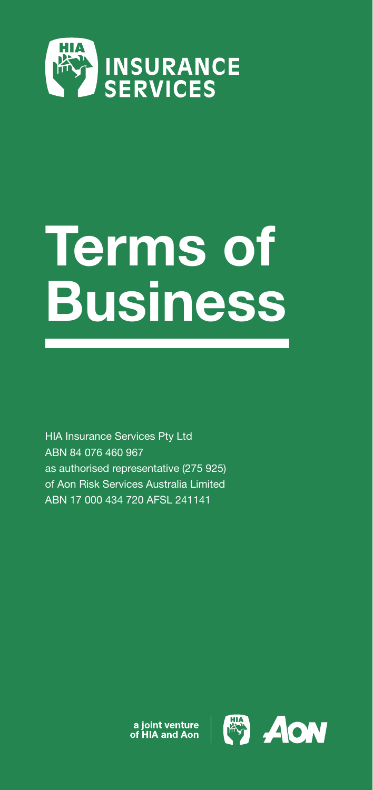

# Terms of **Business**

HIA Insurance Services Pty Ltd ABN 84 076 460 967 as authorised representative (275 925) of Aon Risk Services Australia Limited ABN 17 000 434 720 AFSL 241141

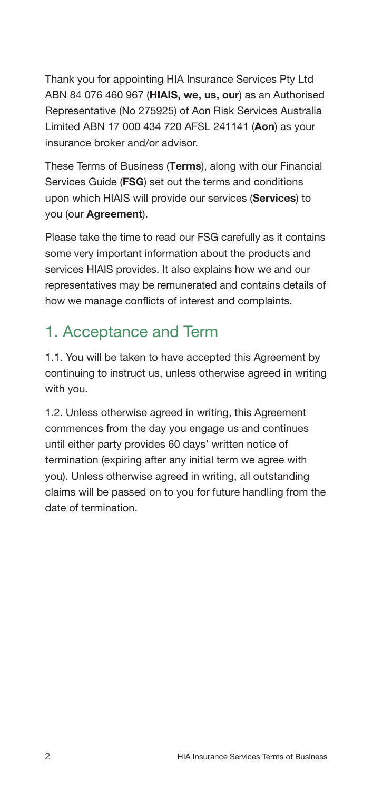Thank you for appointing HIA Insurance Services Pty Ltd ABN 84 076 460 967 (HIAIS, we, us, our) as an Authorised Representative (No 275925) of Aon Risk Services Australia Limited ABN 17 000 434 720 AFSL 241141 (Aon) as your insurance broker and/or advisor.

These Terms of Business (Terms), along with our Financial Services Guide (FSG) set out the terms and conditions upon which HIAIS will provide our services (Services) to you (our Agreement).

Please take the time to read our FSG carefully as it contains some very important information about the products and services HIAIS provides. It also explains how we and our representatives may be remunerated and contains details of how we manage conflicts of interest and complaints.

## 1. Acceptance and Term

1.1. You will be taken to have accepted this Agreement by continuing to instruct us, unless otherwise agreed in writing with you.

1.2. Unless otherwise agreed in writing, this Agreement commences from the day you engage us and continues until either party provides 60 days' written notice of termination (expiring after any initial term we agree with you). Unless otherwise agreed in writing, all outstanding claims will be passed on to you for future handling from the date of termination.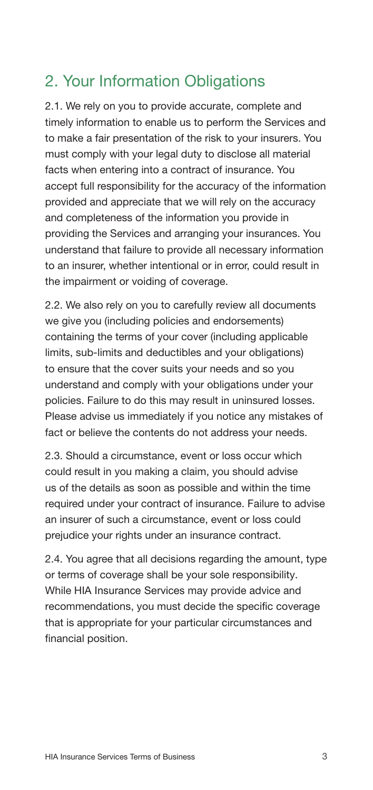#### 2. Your Information Obligations

2.1. We rely on you to provide accurate, complete and timely information to enable us to perform the Services and to make a fair presentation of the risk to your insurers. You must comply with your legal duty to disclose all material facts when entering into a contract of insurance. You accept full responsibility for the accuracy of the information provided and appreciate that we will rely on the accuracy and completeness of the information you provide in providing the Services and arranging your insurances. You understand that failure to provide all necessary information to an insurer, whether intentional or in error, could result in the impairment or voiding of coverage.

2.2. We also rely on you to carefully review all documents we give you (including policies and endorsements) containing the terms of your cover (including applicable limits, sub-limits and deductibles and your obligations) to ensure that the cover suits your needs and so you understand and comply with your obligations under your policies. Failure to do this may result in uninsured losses. Please advise us immediately if you notice any mistakes of fact or believe the contents do not address your needs.

2.3. Should a circumstance, event or loss occur which could result in you making a claim, you should advise us of the details as soon as possible and within the time required under your contract of insurance. Failure to advise an insurer of such a circumstance, event or loss could prejudice your rights under an insurance contract.

2.4. You agree that all decisions regarding the amount, type or terms of coverage shall be your sole responsibility. While HIA Insurance Services may provide advice and recommendations, you must decide the specific coverage that is appropriate for your particular circumstances and financial position.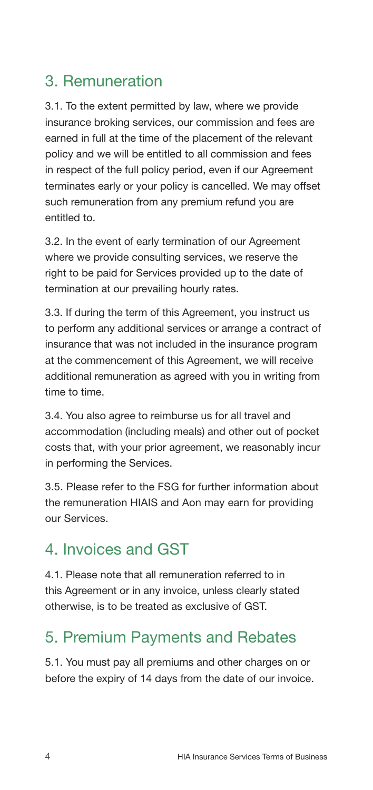#### 3. Remuneration

3.1. To the extent permitted by law, where we provide insurance broking services, our commission and fees are earned in full at the time of the placement of the relevant policy and we will be entitled to all commission and fees in respect of the full policy period, even if our Agreement terminates early or your policy is cancelled. We may offset such remuneration from any premium refund you are entitled to.

3.2. In the event of early termination of our Agreement where we provide consulting services, we reserve the right to be paid for Services provided up to the date of termination at our prevailing hourly rates.

3.3. If during the term of this Agreement, you instruct us to perform any additional services or arrange a contract of insurance that was not included in the insurance program at the commencement of this Agreement, we will receive additional remuneration as agreed with you in writing from time to time.

3.4. You also agree to reimburse us for all travel and accommodation (including meals) and other out of pocket costs that, with your prior agreement, we reasonably incur in performing the Services.

3.5. Please refer to the FSG for further information about the remuneration HIAIS and Aon may earn for providing our Services.

## 4. Invoices and GST

4.1. Please note that all remuneration referred to in this Agreement or in any invoice, unless clearly stated otherwise, is to be treated as exclusive of GST.

## 5. Premium Payments and Rebates

5.1. You must pay all premiums and other charges on or before the expiry of 14 days from the date of our invoice.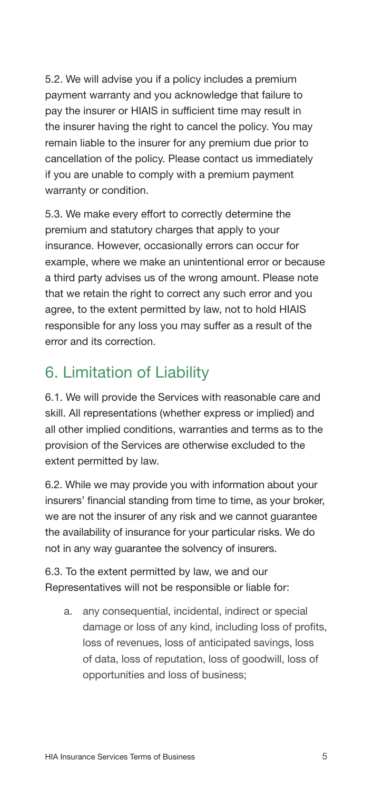5.2. We will advise you if a policy includes a premium payment warranty and you acknowledge that failure to pay the insurer or HIAIS in sufficient time may result in the insurer having the right to cancel the policy. You may remain liable to the insurer for any premium due prior to cancellation of the policy. Please contact us immediately if you are unable to comply with a premium payment warranty or condition.

5.3. We make every effort to correctly determine the premium and statutory charges that apply to your insurance. However, occasionally errors can occur for example, where we make an unintentional error or because a third party advises us of the wrong amount. Please note that we retain the right to correct any such error and you agree, to the extent permitted by law, not to hold HIAIS responsible for any loss you may suffer as a result of the error and its correction.

#### 6. Limitation of Liability

6.1. We will provide the Services with reasonable care and skill. All representations (whether express or implied) and all other implied conditions, warranties and terms as to the provision of the Services are otherwise excluded to the extent permitted by law.

6.2. While we may provide you with information about your insurers' financial standing from time to time, as your broker, we are not the insurer of any risk and we cannot guarantee the availability of insurance for your particular risks. We do not in any way guarantee the solvency of insurers.

6.3. To the extent permitted by law, we and our Representatives will not be responsible or liable for:

a. any consequential, incidental, indirect or special damage or loss of any kind, including loss of profits, loss of revenues, loss of anticipated savings, loss of data, loss of reputation, loss of goodwill, loss of opportunities and loss of business;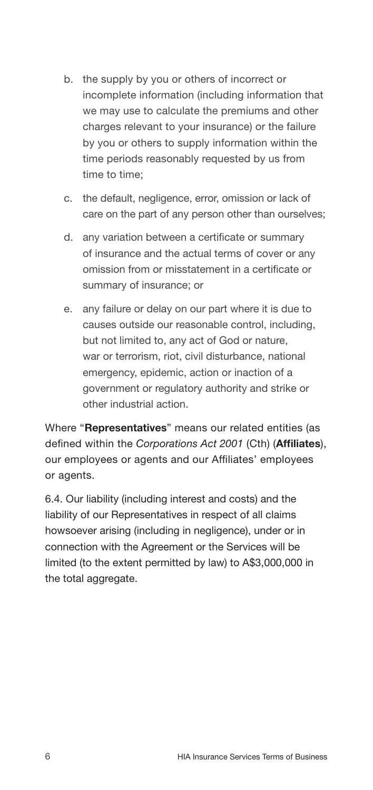- b. the supply by you or others of incorrect or incomplete information (including information that we may use to calculate the premiums and other charges relevant to your insurance) or the failure by you or others to supply information within the time periods reasonably requested by us from time to time;
- c. the default, negligence, error, omission or lack of care on the part of any person other than ourselves;
- d. any variation between a certificate or summary of insurance and the actual terms of cover or any omission from or misstatement in a certificate or summary of insurance; or
- e. any failure or delay on our part where it is due to causes outside our reasonable control, including, but not limited to, any act of God or nature, war or terrorism, riot, civil disturbance, national emergency, epidemic, action or inaction of a government or regulatory authority and strike or other industrial action.

Where "Representatives" means our related entities (as defined within the *Corporations Act 2001* (Cth) (Affiliates), our employees or agents and our Affiliates' employees or agents.

6.4. Our liability (including interest and costs) and the liability of our Representatives in respect of all claims howsoever arising (including in negligence), under or in connection with the Agreement or the Services will be limited (to the extent permitted by law) to A\$3,000,000 in the total aggregate.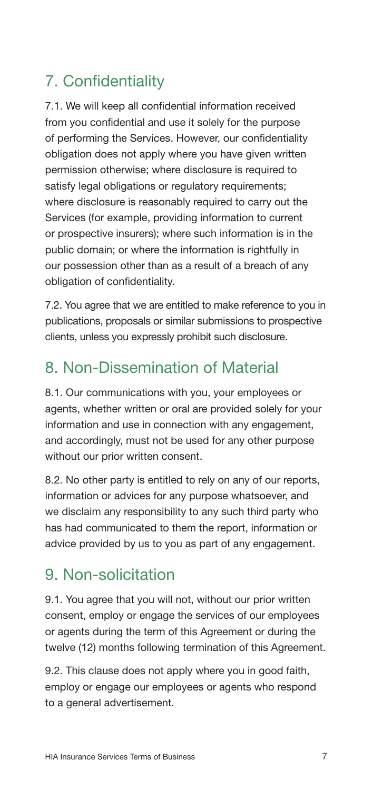# 7. Confidentiality

7.1. We will keep all confidential information received from you confidential and use it solely for the purpose of performing the Services. However, our confidentiality obligation does not apply where you have given written permission otherwise; where disclosure is required to satisfy legal obligations or regulatory requirements; where disclosure is reasonably required to carry out the Services (for example, providing information to current or prospective insurers); where such information is in the public domain; or where the information is rightfully in our possession other than as a result of a breach of any obligation of confidentiality.

7.2. You agree that we are entitled to make reference to you in publications, proposals or similar submissions to prospective clients, unless you expressly prohibit such disclosure.

# 8. Non-Dissemination of Material

8.1. Our communications with you, your employees or agents, whether written or oral are provided solely for your information and use in connection with any engagement, and accordingly, must not be used for any other purpose without our prior written consent.

8.2. No other party is entitled to rely on any of our reports, information or advices for any purpose whatsoever, and we disclaim any responsibility to any such third party who has had communicated to them the report, information or advice provided by us to you as part of any engagement.

#### 9. Non-solicitation

9.1. You agree that you will not, without our prior written consent, employ or engage the services of our employees or agents during the term of this Agreement or during the twelve (12) months following termination of this Agreement.

9.2. This clause does not apply where you in good faith, employ or engage our employees or agents who respond to a general advertisement.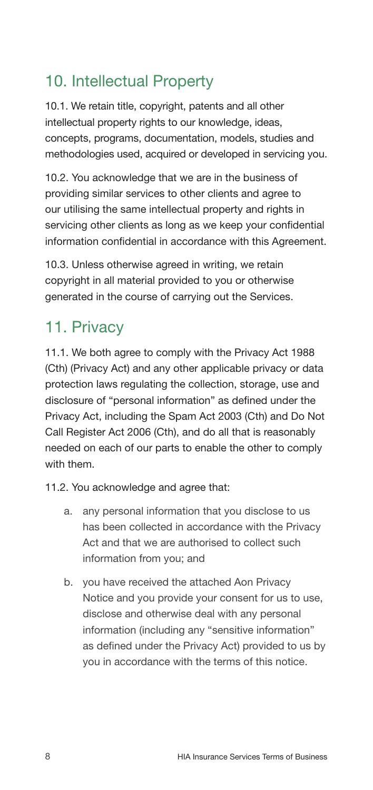## 10. Intellectual Property

10.1. We retain title, copyright, patents and all other intellectual property rights to our knowledge, ideas, concepts, programs, documentation, models, studies and methodologies used, acquired or developed in servicing you.

10.2. You acknowledge that we are in the business of providing similar services to other clients and agree to our utilising the same intellectual property and rights in servicing other clients as long as we keep your confidential information confidential in accordance with this Agreement.

10.3. Unless otherwise agreed in writing, we retain copyright in all material provided to you or otherwise generated in the course of carrying out the Services.

# 11. Privacy

11.1. We both agree to comply with the Privacy Act 1988 (Cth) (Privacy Act) and any other applicable privacy or data protection laws regulating the collection, storage, use and disclosure of "personal information" as defined under the Privacy Act, including the Spam Act 2003 (Cth) and Do Not Call Register Act 2006 (Cth), and do all that is reasonably needed on each of our parts to enable the other to comply with them.

11.2. You acknowledge and agree that:

- a. any personal information that you disclose to us has been collected in accordance with the Privacy Act and that we are authorised to collect such information from you; and
- b. you have received the attached Aon Privacy Notice and you provide your consent for us to use, disclose and otherwise deal with any personal information (including any "sensitive information" as defined under the Privacy Act) provided to us by you in accordance with the terms of this notice.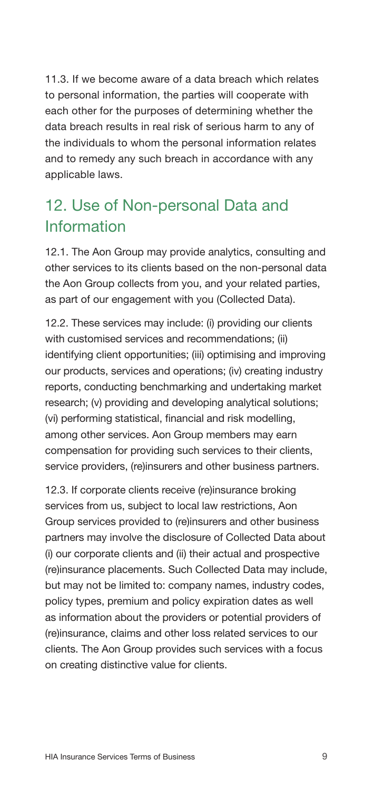11.3. If we become aware of a data breach which relates to personal information, the parties will cooperate with each other for the purposes of determining whether the data breach results in real risk of serious harm to any of the individuals to whom the personal information relates and to remedy any such breach in accordance with any applicable laws.

## 12. Use of Non-personal Data and Information

12.1. The Aon Group may provide analytics, consulting and other services to its clients based on the non-personal data the Aon Group collects from you, and your related parties, as part of our engagement with you (Collected Data).

12.2. These services may include: (i) providing our clients with customised services and recommendations; (ii) identifying client opportunities; (iii) optimising and improving our products, services and operations; (iv) creating industry reports, conducting benchmarking and undertaking market research; (v) providing and developing analytical solutions; (vi) performing statistical, financial and risk modelling, among other services. Aon Group members may earn compensation for providing such services to their clients, service providers, (re)insurers and other business partners.

12.3. If corporate clients receive (re)insurance broking services from us, subject to local law restrictions, Aon Group services provided to (re)insurers and other business partners may involve the disclosure of Collected Data about (i) our corporate clients and (ii) their actual and prospective (re)insurance placements. Such Collected Data may include, but may not be limited to: company names, industry codes, policy types, premium and policy expiration dates as well as information about the providers or potential providers of (re)insurance, claims and other loss related services to our clients. The Aon Group provides such services with a focus on creating distinctive value for clients.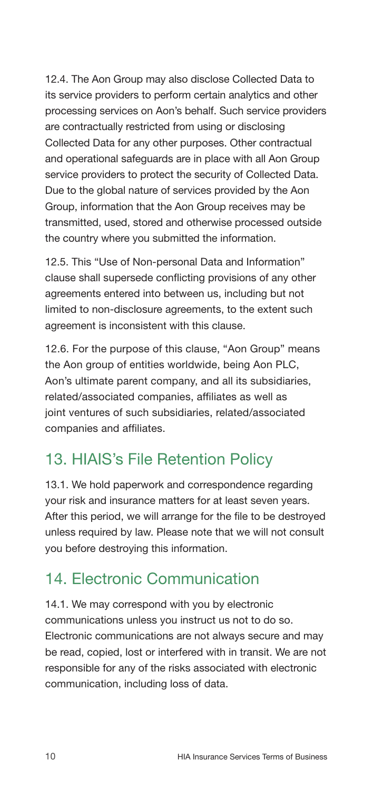12.4. The Aon Group may also disclose Collected Data to its service providers to perform certain analytics and other processing services on Aon's behalf. Such service providers are contractually restricted from using or disclosing Collected Data for any other purposes. Other contractual and operational safeguards are in place with all Aon Group service providers to protect the security of Collected Data. Due to the global nature of services provided by the Aon Group, information that the Aon Group receives may be transmitted, used, stored and otherwise processed outside the country where you submitted the information.

12.5. This "Use of Non-personal Data and Information" clause shall supersede conflicting provisions of any other agreements entered into between us, including but not limited to non-disclosure agreements, to the extent such agreement is inconsistent with this clause.

12.6. For the purpose of this clause, "Aon Group" means the Aon group of entities worldwide, being Aon PLC, Aon's ultimate parent company, and all its subsidiaries, related/associated companies, affiliates as well as joint ventures of such subsidiaries, related/associated companies and affiliates.

#### 13. HIAIS's File Retention Policy

13.1. We hold paperwork and correspondence regarding your risk and insurance matters for at least seven years. After this period, we will arrange for the file to be destroyed unless required by law. Please note that we will not consult you before destroying this information.

#### 14. Electronic Communication

14.1. We may correspond with you by electronic communications unless you instruct us not to do so. Electronic communications are not always secure and may be read, copied, lost or interfered with in transit. We are not responsible for any of the risks associated with electronic communication, including loss of data.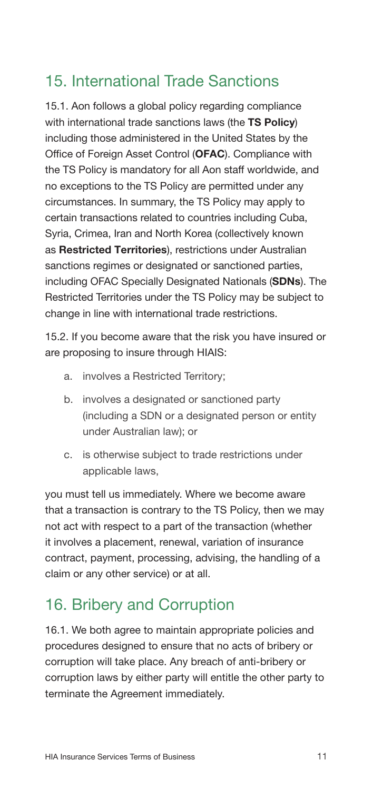#### 15. International Trade Sanctions

15.1. Aon follows a global policy regarding compliance with international trade sanctions laws (the TS Policy) including those administered in the United States by the Office of Foreign Asset Control (OFAC). Compliance with the TS Policy is mandatory for all Aon staff worldwide, and no exceptions to the TS Policy are permitted under any circumstances. In summary, the TS Policy may apply to certain transactions related to countries including Cuba, Syria, Crimea, Iran and North Korea (collectively known as Restricted Territories), restrictions under Australian sanctions regimes or designated or sanctioned parties. including OFAC Specially Designated Nationals (SDNs). The Restricted Territories under the TS Policy may be subject to change in line with international trade restrictions.

15.2. If you become aware that the risk you have insured or are proposing to insure through HIAIS:

- a. involves a Restricted Territory;
- b. involves a designated or sanctioned party (including a SDN or a designated person or entity under Australian law); or
- c. is otherwise subject to trade restrictions under applicable laws,

you must tell us immediately. Where we become aware that a transaction is contrary to the TS Policy, then we may not act with respect to a part of the transaction (whether it involves a placement, renewal, variation of insurance contract, payment, processing, advising, the handling of a claim or any other service) or at all.

## 16. Bribery and Corruption

16.1. We both agree to maintain appropriate policies and procedures designed to ensure that no acts of bribery or corruption will take place. Any breach of anti-bribery or corruption laws by either party will entitle the other party to terminate the Agreement immediately.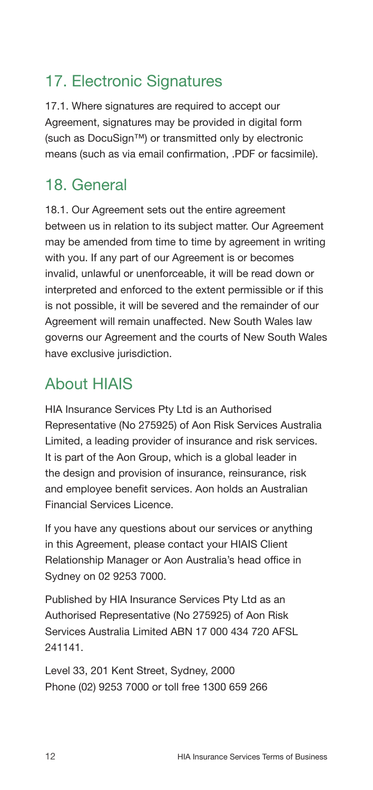# 17. Electronic Signatures

17.1. Where signatures are required to accept our Agreement, signatures may be provided in digital form (such as DocuSign™) or transmitted only by electronic means (such as via email confirmation, .PDF or facsimile).

# 18. General

18.1. Our Agreement sets out the entire agreement between us in relation to its subject matter. Our Agreement may be amended from time to time by agreement in writing with you. If any part of our Agreement is or becomes invalid, unlawful or unenforceable, it will be read down or interpreted and enforced to the extent permissible or if this is not possible, it will be severed and the remainder of our Agreement will remain unaffected. New South Wales law governs our Agreement and the courts of New South Wales have exclusive jurisdiction.

## About HIAIS

HIA Insurance Services Pty Ltd is an Authorised Representative (No 275925) of Aon Risk Services Australia Limited, a leading provider of insurance and risk services. It is part of the Aon Group, which is a global leader in the design and provision of insurance, reinsurance, risk and employee benefit services. Aon holds an Australian Financial Services Licence.

If you have any questions about our services or anything in this Agreement, please contact your HIAIS Client Relationship Manager or Aon Australia's head office in Sydney on 02 9253 7000.

Published by HIA Insurance Services Pty Ltd as an Authorised Representative (No 275925) of Aon Risk Services Australia Limited ABN 17 000 434 720 AFSL 241141.

Level 33, 201 Kent Street, Sydney, 2000 Phone (02) 9253 7000 or toll free 1300 659 266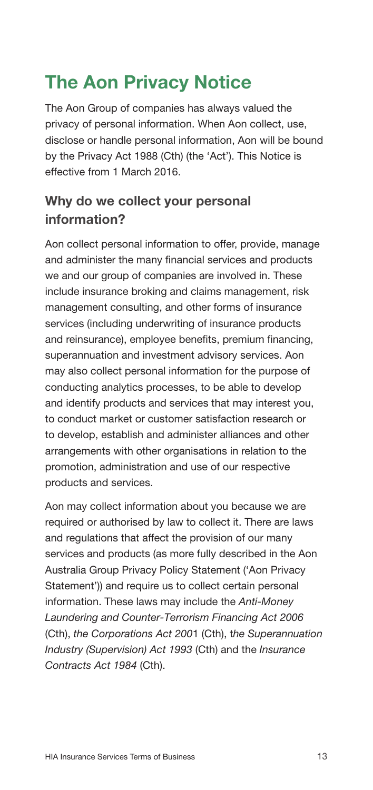# The Aon Privacy Notice

The Aon Group of companies has always valued the privacy of personal information. When Aon collect, use, disclose or handle personal information, Aon will be bound by the Privacy Act 1988 (Cth) (the 'Act'). This Notice is effective from 1 March 2016.

#### Why do we collect your personal information?

Aon collect personal information to offer, provide, manage and administer the many financial services and products we and our group of companies are involved in. These include insurance broking and claims management, risk management consulting, and other forms of insurance services (including underwriting of insurance products and reinsurance), employee benefits, premium financing, superannuation and investment advisory services. Aon may also collect personal information for the purpose of conducting analytics processes, to be able to develop and identify products and services that may interest you, to conduct market or customer satisfaction research or to develop, establish and administer alliances and other arrangements with other organisations in relation to the promotion, administration and use of our respective products and services.

Aon may collect information about you because we are required or authorised by law to collect it. There are laws and regulations that affect the provision of our many services and products (as more fully described in the Aon Australia Group Privacy Policy Statement ('Aon Privacy Statement')) and require us to collect certain personal information. These laws may include the *Anti-Money Laundering and Counter-Terrorism Financing Act 2006*  (Cth), *the Corporations Act 200*1 (Cth), t*he Superannuation Industry (Supervision) Act 1993* (Cth) and the *Insurance Contracts Act 1984* (Cth).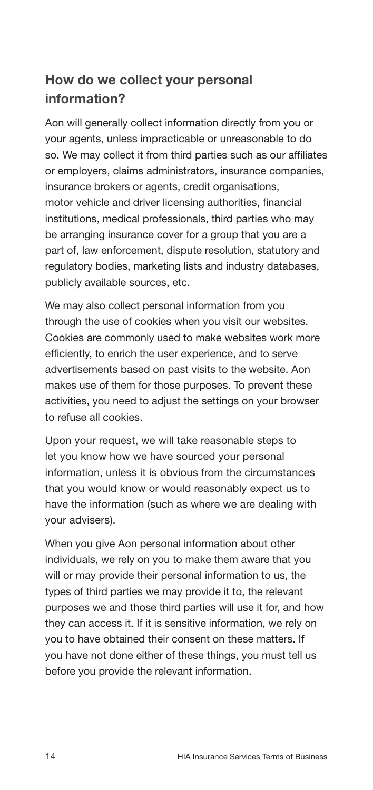#### How do we collect your personal information?

Aon will generally collect information directly from you or your agents, unless impracticable or unreasonable to do so. We may collect it from third parties such as our affiliates or employers, claims administrators, insurance companies, insurance brokers or agents, credit organisations, motor vehicle and driver licensing authorities, financial institutions, medical professionals, third parties who may be arranging insurance cover for a group that you are a part of, law enforcement, dispute resolution, statutory and regulatory bodies, marketing lists and industry databases, publicly available sources, etc.

We may also collect personal information from you through the use of cookies when you visit our websites. Cookies are commonly used to make websites work more efficiently, to enrich the user experience, and to serve advertisements based on past visits to the website. Aon makes use of them for those purposes. To prevent these activities, you need to adjust the settings on your browser to refuse all cookies.

Upon your request, we will take reasonable steps to let you know how we have sourced your personal information, unless it is obvious from the circumstances that you would know or would reasonably expect us to have the information (such as where we are dealing with your advisers).

When you give Aon personal information about other individuals, we rely on you to make them aware that you will or may provide their personal information to us, the types of third parties we may provide it to, the relevant purposes we and those third parties will use it for, and how they can access it. If it is sensitive information, we rely on you to have obtained their consent on these matters. If you have not done either of these things, you must tell us before you provide the relevant information.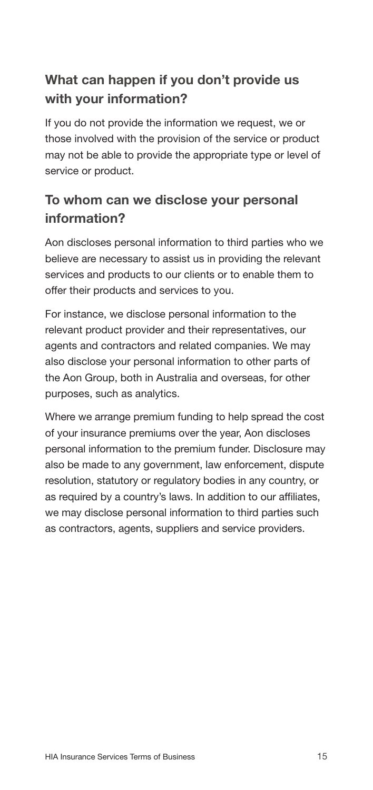#### What can happen if you don't provide us with your information?

If you do not provide the information we request, we or those involved with the provision of the service or product may not be able to provide the appropriate type or level of service or product.

#### To whom can we disclose your personal information?

Aon discloses personal information to third parties who we believe are necessary to assist us in providing the relevant services and products to our clients or to enable them to offer their products and services to you.

For instance, we disclose personal information to the relevant product provider and their representatives, our agents and contractors and related companies. We may also disclose your personal information to other parts of the Aon Group, both in Australia and overseas, for other purposes, such as analytics.

Where we arrange premium funding to help spread the cost of your insurance premiums over the year, Aon discloses personal information to the premium funder. Disclosure may also be made to any government, law enforcement, dispute resolution, statutory or regulatory bodies in any country, or as required by a country's laws. In addition to our affiliates, we may disclose personal information to third parties such as contractors, agents, suppliers and service providers.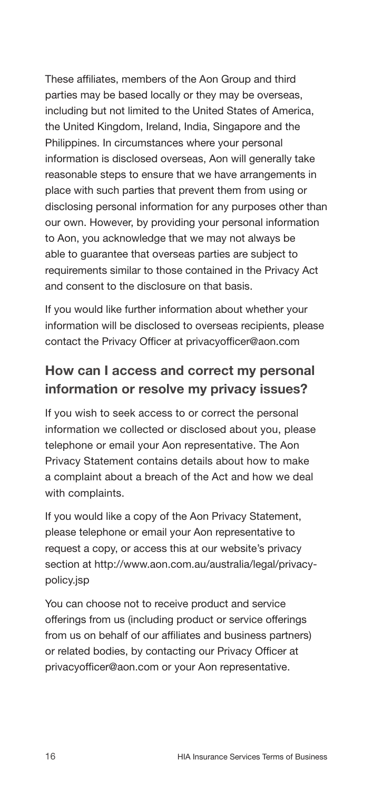These affiliates, members of the Aon Group and third parties may be based locally or they may be overseas, including but not limited to the United States of America, the United Kingdom, Ireland, India, Singapore and the Philippines. In circumstances where your personal information is disclosed overseas, Aon will generally take reasonable steps to ensure that we have arrangements in place with such parties that prevent them from using or disclosing personal information for any purposes other than our own. However, by providing your personal information to Aon, you acknowledge that we may not always be able to guarantee that overseas parties are subject to requirements similar to those contained in the Privacy Act and consent to the disclosure on that basis.

If you would like further information about whether your information will be disclosed to overseas recipients, please contact the Privacy Officer at [privacyofficer@aon.com](mailto:http://www.privacyofficer%40aon.com?subject=)

#### How can I access and correct my personal information or resolve my privacy issues?

If you wish to seek access to or correct the personal information we collected or disclosed about you, please telephone or email your Aon representative. The Aon Privacy Statement contains details about how to make a complaint about a breach of the Act and how we deal with complaints.

If you would like a copy of the Aon Privacy Statement, please telephone or email your Aon representative to request a copy, or access this at our website's privacy section at [http://www.aon.com.au/australia/legal/privacy](http://www.aon.com.au/australia/legal/privacy-policy.jsp )[policy.jsp](http://www.aon.com.au/australia/legal/privacy-policy.jsp )

You can choose not to receive product and service offerings from us (including product or service offerings from us on behalf of our affiliates and business partners) or related bodies, by contacting our Privacy Officer at [privacyofficer@aon.com](mailto:http://www.privacyofficer%40aon.com?subject=) or your Aon representative.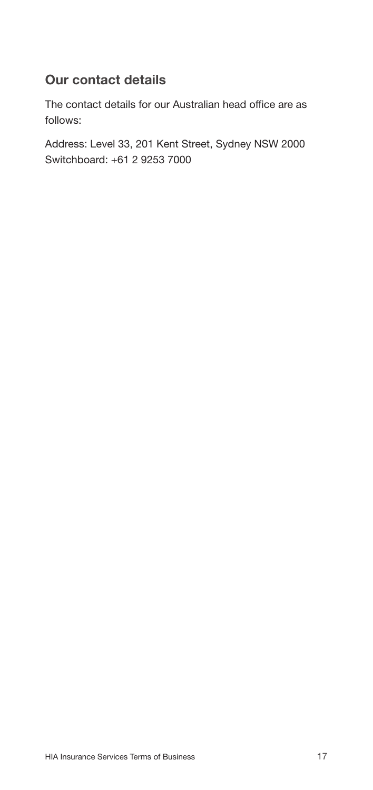#### Our contact details

The contact details for our Australian head office are as follows:

Address: Level 33, 201 Kent Street, Sydney NSW 2000 Switchboard: +61 2 9253 7000